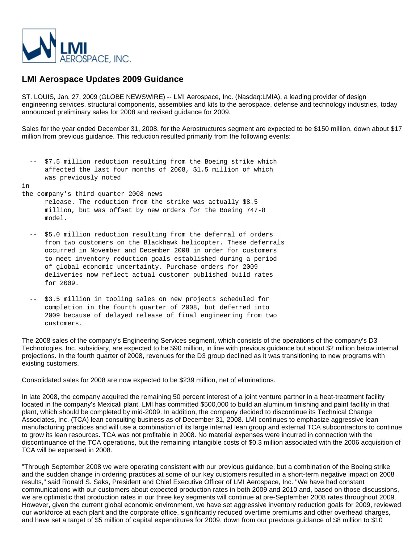

## **LMI Aerospace Updates 2009 Guidance**

ST. LOUIS, Jan. 27, 2009 (GLOBE NEWSWIRE) -- LMI Aerospace, Inc. (Nasdaq:LMIA), a leading provider of design engineering services, structural components, assemblies and kits to the aerospace, defense and technology industries, today announced preliminary sales for 2008 and revised guidance for 2009.

Sales for the year ended December 31, 2008, for the Aerostructures segment are expected to be \$150 million, down about \$17 million from previous guidance. This reduction resulted primarily from the following events:

|    | \$7.5 million reduction resulting from the Boeing strike which       |
|----|----------------------------------------------------------------------|
|    | affected the last four months of 2008, \$1.5 million of which        |
|    | was previously noted                                                 |
| in |                                                                      |
|    | the company's third quarter 2008 news                                |
|    | release. The reduction from the strike was actually \$8.5            |
|    | million, but was offset by new orders for the Boeing 747-8<br>model. |
|    | \$5.0 million reduction resulting from the deferral of orders        |
|    | from two customers on the Blackhawk helicopter. These deferrals      |
|    | occurred in November and December 2008 in order for customers        |
|    | to meet inventory reduction goals established during a period        |

 to meet inventory reduction goals established during a period of global economic uncertainty. Purchase orders for 2009 deliveries now reflect actual customer published build rates for 2009.

 -- \$3.5 million in tooling sales on new projects scheduled for completion in the fourth quarter of 2008, but deferred into 2009 because of delayed release of final engineering from two customers.

The 2008 sales of the company's Engineering Services segment, which consists of the operations of the company's D3 Technologies, Inc. subsidiary, are expected to be \$90 million, in line with previous guidance but about \$2 million below internal projections. In the fourth quarter of 2008, revenues for the D3 group declined as it was transitioning to new programs with existing customers.

Consolidated sales for 2008 are now expected to be \$239 million, net of eliminations.

In late 2008, the company acquired the remaining 50 percent interest of a joint venture partner in a heat-treatment facility located in the company's Mexicali plant. LMI has committed \$500,000 to build an aluminum finishing and paint facility in that plant, which should be completed by mid-2009. In addition, the company decided to discontinue its Technical Change Associates, Inc. (TCA) lean consulting business as of December 31, 2008. LMI continues to emphasize aggressive lean manufacturing practices and will use a combination of its large internal lean group and external TCA subcontractors to continue to grow its lean resources. TCA was not profitable in 2008. No material expenses were incurred in connection with the discontinuance of the TCA operations, but the remaining intangible costs of \$0.3 million associated with the 2006 acquisition of TCA will be expensed in 2008.

"Through September 2008 we were operating consistent with our previous guidance, but a combination of the Boeing strike and the sudden change in ordering practices at some of our key customers resulted in a short-term negative impact on 2008 results," said Ronald S. Saks, President and Chief Executive Officer of LMI Aerospace, Inc. "We have had constant communications with our customers about expected production rates in both 2009 and 2010 and, based on those discussions, we are optimistic that production rates in our three key segments will continue at pre-September 2008 rates throughout 2009. However, given the current global economic environment, we have set aggressive inventory reduction goals for 2009, reviewed our workforce at each plant and the corporate office, significantly reduced overtime premiums and other overhead charges, and have set a target of \$5 million of capital expenditures for 2009, down from our previous guidance of \$8 million to \$10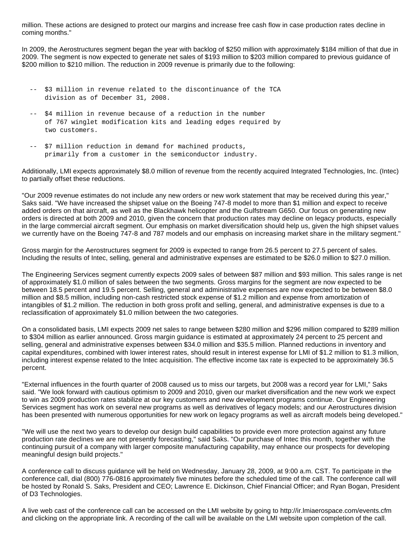million. These actions are designed to protect our margins and increase free cash flow in case production rates decline in coming months."

In 2009, the Aerostructures segment began the year with backlog of \$250 million with approximately \$184 million of that due in 2009. The segment is now expected to generate net sales of \$193 million to \$203 million compared to previous guidance of \$200 million to \$210 million. The reduction in 2009 revenue is primarily due to the following:

- -- \$3 million in revenue related to the discontinuance of the TCA division as of December 31, 2008.
- -- \$4 million in revenue because of a reduction in the number of 767 winglet modification kits and leading edges required by two customers.
- -- \$7 million reduction in demand for machined products, primarily from a customer in the semiconductor industry.

Additionally, LMI expects approximately \$8.0 million of revenue from the recently acquired Integrated Technologies, Inc. (Intec) to partially offset these reductions.

"Our 2009 revenue estimates do not include any new orders or new work statement that may be received during this year," Saks said. "We have increased the shipset value on the Boeing 747-8 model to more than \$1 million and expect to receive added orders on that aircraft, as well as the Blackhawk helicopter and the Gulfstream G650. Our focus on generating new orders is directed at both 2009 and 2010, given the concern that production rates may decline on legacy products, especially in the large commercial aircraft segment. Our emphasis on market diversification should help us, given the high shipset values we currently have on the Boeing 747-8 and 787 models and our emphasis on increasing market share in the military segment."

Gross margin for the Aerostructures segment for 2009 is expected to range from 26.5 percent to 27.5 percent of sales. Including the results of Intec, selling, general and administrative expenses are estimated to be \$26.0 million to \$27.0 million.

The Engineering Services segment currently expects 2009 sales of between \$87 million and \$93 million. This sales range is net of approximately \$1.0 million of sales between the two segments. Gross margins for the segment are now expected to be between 18.5 percent and 19.5 percent. Selling, general and administrative expenses are now expected to be between \$8.0 million and \$8.5 million, including non-cash restricted stock expense of \$1.2 million and expense from amortization of intangibles of \$1.2 million. The reduction in both gross profit and selling, general, and administrative expenses is due to a reclassification of approximately \$1.0 million between the two categories.

On a consolidated basis, LMI expects 2009 net sales to range between \$280 million and \$296 million compared to \$289 million to \$304 million as earlier announced. Gross margin guidance is estimated at approximately 24 percent to 25 percent and selling, general and administrative expenses between \$34.0 million and \$35.5 million. Planned reductions in inventory and capital expenditures, combined with lower interest rates, should result in interest expense for LMI of \$1.2 million to \$1.3 million, including interest expense related to the Intec acquisition. The effective income tax rate is expected to be approximately 36.5 percent.

"External influences in the fourth quarter of 2008 caused us to miss our targets, but 2008 was a record year for LMI," Saks said. "We look forward with cautious optimism to 2009 and 2010, given our market diversification and the new work we expect to win as 2009 production rates stabilize at our key customers and new development programs continue. Our Engineering Services segment has work on several new programs as well as derivatives of legacy models; and our Aerostructures division has been presented with numerous opportunities for new work on legacy programs as well as aircraft models being developed."

"We will use the next two years to develop our design build capabilities to provide even more protection against any future production rate declines we are not presently forecasting," said Saks. "Our purchase of Intec this month, together with the continuing pursuit of a company with larger composite manufacturing capability, may enhance our prospects for developing meaningful design build projects."

A conference call to discuss guidance will be held on Wednesday, January 28, 2009, at 9:00 a.m. CST. To participate in the conference call, dial (800) 776-0816 approximately five minutes before the scheduled time of the call. The conference call will be hosted by Ronald S. Saks, President and CEO; Lawrence E. Dickinson, Chief Financial Officer; and Ryan Bogan, President of D3 Technologies.

A live web cast of the conference call can be accessed on the LMI website by going to http://ir.lmiaerospace.com/events.cfm and clicking on the appropriate link. A recording of the call will be available on the LMI website upon completion of the call.